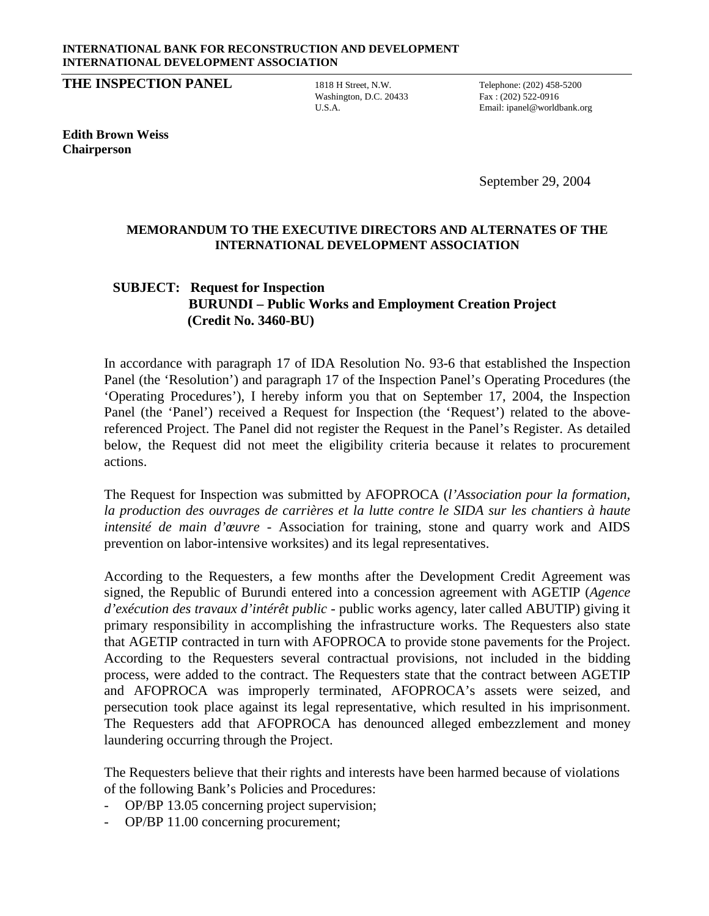## **INTERNATIONAL BANK FOR RECONSTRUCTION AND DEVELOPMENT INTERNATIONAL DEVELOPMENT ASSOCIATION**

**THE INSPECTION PANEL** 1818 H Street, N.W. Telephone: (202) 458-5200

Washington, D.C. 20433 Fax: (202) 522-0916

U.S.A. Email: ipanel@worldbank.org

**Edith Brown Weiss Chairperson**

September 29, 2004

## **MEMORANDUM TO THE EXECUTIVE DIRECTORS AND ALTERNATES OF THE INTERNATIONAL DEVELOPMENT ASSOCIATION**

## **SUBJECT: Request for Inspection BURUNDI – Public Works and Employment Creation Project (Credit No. 3460-BU)**

In accordance with paragraph 17 of IDA Resolution No. 93-6 that established the Inspection Panel (the 'Resolution') and paragraph 17 of the Inspection Panel's Operating Procedures (the 'Operating Procedures'), I hereby inform you that on September 17, 2004, the Inspection Panel (the 'Panel') received a Request for Inspection (the 'Request') related to the abovereferenced Project. The Panel did not register the Request in the Panel's Register. As detailed below, the Request did not meet the eligibility criteria because it relates to procurement actions.

The Request for Inspection was submitted by AFOPROCA (*l'Association pour la formation, la production des ouvrages de carrières et la lutte contre le SIDA sur les chantiers à haute intensité de main d'œuvre* - Association for training, stone and quarry work and AIDS prevention on labor-intensive worksites) and its legal representatives.

According to the Requesters, a few months after the Development Credit Agreement was signed, the Republic of Burundi entered into a concession agreement with AGETIP (*Agence d'exécution des travaux d'intérêt public* - public works agency, later called ABUTIP) giving it primary responsibility in accomplishing the infrastructure works. The Requesters also state that AGETIP contracted in turn with AFOPROCA to provide stone pavements for the Project. According to the Requesters several contractual provisions, not included in the bidding process, were added to the contract. The Requesters state that the contract between AGETIP and AFOPROCA was improperly terminated, AFOPROCA's assets were seized, and persecution took place against its legal representative, which resulted in his imprisonment. The Requesters add that AFOPROCA has denounced alleged embezzlement and money laundering occurring through the Project.

The Requesters believe that their rights and interests have been harmed because of violations of the following Bank's Policies and Procedures:

- OP/BP 13.05 concerning project supervision;
- OP/BP 11.00 concerning procurement;